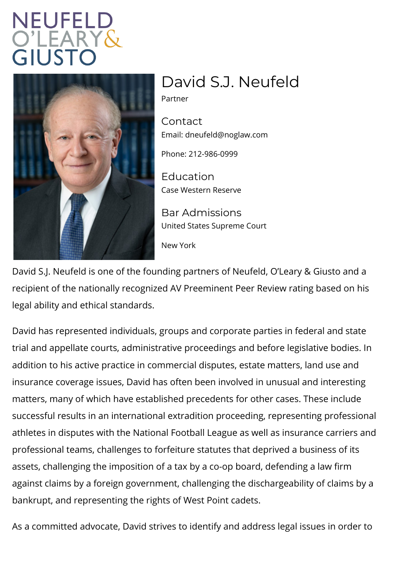## David S.J. Neufeld

Partner

Contact Emaidneufeld@noglaw.com

Phone: 212-986-0999

Education Case Western Reserve

Bar Admissions United States Supreme Court

New York

David S.J. Neufeld is one of the founding partners of Neufe recipient of the nationally recognized AV Preeminent Peer legal ability and ethical standards.

David has represented individuals, groups and corporate pa trial and appellate courts, administrative proceedings and  $\vdash$ addition to his active practice in commercial disputes, esta insurance coverage issues, David has often been involved i matters, many of which have established precedents for oth successful results in an international extradition proceedin athletes in disputes with the National Football League as w professional teams, challenges to forfeiture statutes that d assets, challenging the imposition of a tax by a co-op boar against claims by a foreign government, challenging the dis bankrupt, and representing the rights of West Point cadets.

As a committed advocate, David strives to identify and add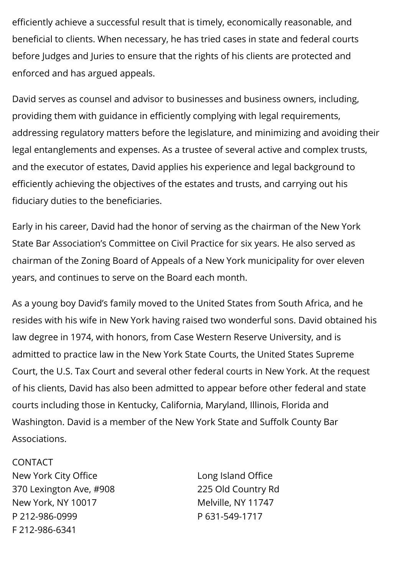efficiently achieve a successful result that is timely, economically reasonable, and beneficial to clients. When necessary, he has tried cases in state and federal courts before Judges and Juries to ensure that the rights of his clients are protected and enforced and has argued appeals.

David serves as counsel and advisor to businesses and business owners, including, providing them with guidance in efficiently complying with legal requirements, addressing regulatory matters before the legislature, and minimizing and avoiding their legal entanglements and expenses. As a trustee of several active and complex trusts, and the executor of estates, David applies his experience and legal background to efficiently achieving the objectives of the estates and trusts, and carrying out his fiduciary duties to the beneficiaries.

Early in his career, David had the honor of serving as the chairman of the New York State Bar Association's Committee on Civil Practice for six years. He also served as chairman of the Zoning Board of Appeals of a New York municipality for over eleven years, and continues to serve on the Board each month.

As a young boy David's family moved to the United States from South Africa, and he resides with his wife in New York having raised two wonderful sons. David obtained his law degree in 1974, with honors, from Case Western Reserve University, and is admitted to practice law in the New York State Courts, the United States Supreme Court, the U.S. Tax Court and several other federal courts in New York. At the request of his clients, David has also been admitted to appear before other federal and state courts including those in Kentucky, California, Maryland, Illinois, Florida and Washington. David is a member of the New York State and Suffolk County Bar Associations.

## CONTACT

New York City Office 370 Lexington Ave, #908 New York, NY 10017 P 212-986-0999 F 212-986-6341

Long Island Office 225 Old Country Rd Melville, NY 11747 P 631-549-1717